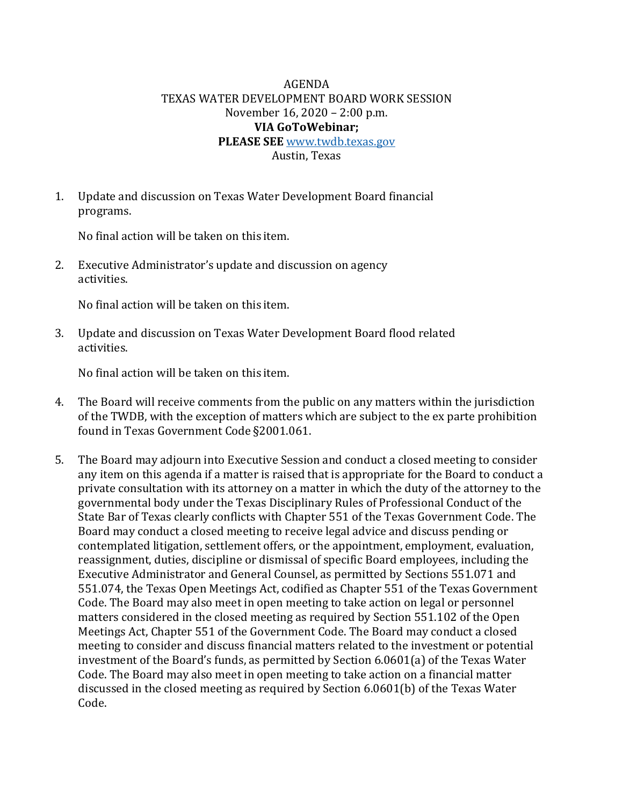## AGENDA TEXAS WATER DEVELOPMENT BOARD WORK SESSION November 16, 2020 – 2:00 p.m. **VIA GoToWebinar; PLEASE SEE** [www.twdb.texas.gov](http://www.twdb.texas.gov/)

Austin, Texas

1. Update and discussion on Texas Water Development Board financial programs.

No final action will be taken on this item.

2. Executive Administrator's update and discussion on agency activities.

No final action will be taken on this item.

3. Update and discussion on Texas Water Development Board flood related activities.

No final action will be taken on this item.

- 4. The Board will receive comments from the public on any matters within the jurisdiction of the TWDB, with the exception of matters which are subject to the ex parte prohibition found in Texas Government Code §2001.061.
- 5. The Board may adjourn into Executive Session and conduct a closed meeting to consider any item on this agenda if a matter is raised that is appropriate for the Board to conduct a private consultation with its attorney on a matter in which the duty of the attorney to the governmental body under the Texas Disciplinary Rules of Professional Conduct of the State Bar of Texas clearly conflicts with Chapter 551 of the Texas Government Code. The Board may conduct a closed meeting to receive legal advice and discuss pending or contemplated litigation, settlement offers, or the appointment, employment, evaluation, reassignment, duties, discipline or dismissal of specific Board employees, including the Executive Administrator and General Counsel, as permitted by Sections 551.071 and 551.074, the Texas Open Meetings Act, codified as Chapter 551 of the Texas Government Code. The Board may also meet in open meeting to take action on legal or personnel matters considered in the closed meeting as required by Section 551.102 of the Open Meetings Act, Chapter 551 of the Government Code. The Board may conduct a closed meeting to consider and discuss financial matters related to the investment or potential investment of the Board's funds, as permitted by Section 6.0601(a) of the Texas Water Code. The Board may also meet in open meeting to take action on a financial matter discussed in the closed meeting as required by Section 6.0601(b) of the Texas Water Code.